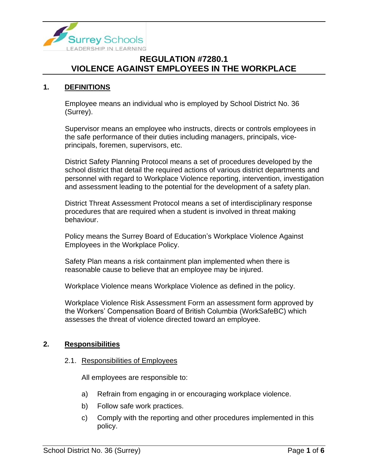

### **1. DEFINITIONS**

Employee means an individual who is employed by School District No. 36 (Surrey).

Supervisor means an employee who instructs, directs or controls employees in the safe performance of their duties including managers, principals, viceprincipals, foremen, supervisors, etc.

District Safety Planning Protocol means a set of procedures developed by the school district that detail the required actions of various district departments and personnel with regard to Workplace Violence reporting, intervention, investigation and assessment leading to the potential for the development of a safety plan.

District Threat Assessment Protocol means a set of interdisciplinary response procedures that are required when a student is involved in threat making behaviour.

Policy means the Surrey Board of Education's Workplace Violence Against Employees in the Workplace Policy.

Safety Plan means a risk containment plan implemented when there is reasonable cause to believe that an employee may be injured.

Workplace Violence means Workplace Violence as defined in the policy.

Workplace Violence Risk Assessment Form an assessment form approved by the Workers' Compensation Board of British Columbia (WorkSafeBC) which assesses the threat of violence directed toward an employee.

### **2. Responsibilities**

### 2.1. Responsibilities of Employees

All employees are responsible to:

- a) Refrain from engaging in or encouraging workplace violence.
- b) Follow safe work practices.
- c) Comply with the reporting and other procedures implemented in this policy.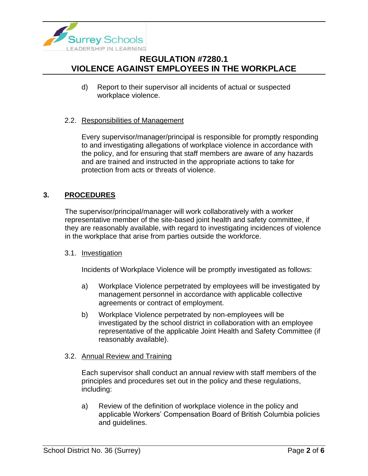

d) Report to their supervisor all incidents of actual or suspected workplace violence.

### 2.2. Responsibilities of Management

Every supervisor/manager/principal is responsible for promptly responding to and investigating allegations of workplace violence in accordance with the policy, and for ensuring that staff members are aware of any hazards and are trained and instructed in the appropriate actions to take for protection from acts or threats of violence.

### **3. PROCEDURES**

The supervisor/principal/manager will work collaboratively with a worker representative member of the site-based joint health and safety committee, if they are reasonably available, with regard to investigating incidences of violence in the workplace that arise from parties outside the workforce.

#### 3.1. Investigation

Incidents of Workplace Violence will be promptly investigated as follows:

- a) Workplace Violence perpetrated by employees will be investigated by management personnel in accordance with applicable collective agreements or contract of employment.
- b) Workplace Violence perpetrated by non-employees will be investigated by the school district in collaboration with an employee representative of the applicable Joint Health and Safety Committee (if reasonably available).

#### 3.2. Annual Review and Training

Each supervisor shall conduct an annual review with staff members of the principles and procedures set out in the policy and these regulations, including:

a) Review of the definition of workplace violence in the policy and applicable Workers' Compensation Board of British Columbia policies and guidelines.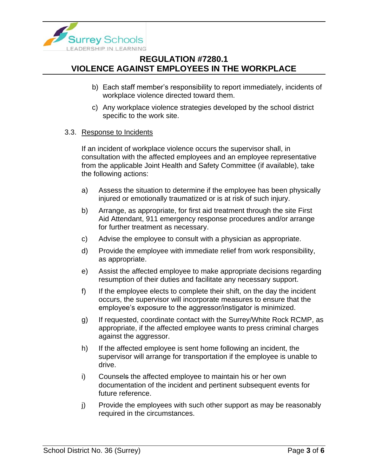

- b) Each staff member's responsibility to report immediately, incidents of workplace violence directed toward them.
- c) Any workplace violence strategies developed by the school district specific to the work site.

### 3.3. Response to Incidents

If an incident of workplace violence occurs the supervisor shall, in consultation with the affected employees and an employee representative from the applicable Joint Health and Safety Committee (if available), take the following actions:

- a) Assess the situation to determine if the employee has been physically injured or emotionally traumatized or is at risk of such injury.
- b) Arrange, as appropriate, for first aid treatment through the site First Aid Attendant, 911 emergency response procedures and/or arrange for further treatment as necessary.
- c) Advise the employee to consult with a physician as appropriate.
- d) Provide the employee with immediate relief from work responsibility, as appropriate.
- e) Assist the affected employee to make appropriate decisions regarding resumption of their duties and facilitate any necessary support.
- f) If the employee elects to complete their shift, on the day the incident occurs, the supervisor will incorporate measures to ensure that the employee's exposure to the aggressor/instigator is minimized.
- g) If requested, coordinate contact with the Surrey/White Rock RCMP, as appropriate, if the affected employee wants to press criminal charges against the aggressor.
- h) If the affected employee is sent home following an incident, the supervisor will arrange for transportation if the employee is unable to drive.
- i) Counsels the affected employee to maintain his or her own documentation of the incident and pertinent subsequent events for future reference.
- j) Provide the employees with such other support as may be reasonably required in the circumstances.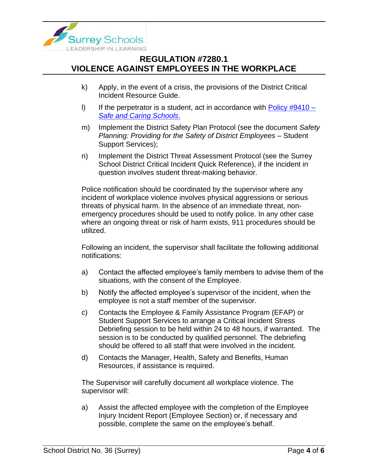

- k) Apply, in the event of a crisis, the provisions of the District Critical Incident Resource Guide.
- I) If the perpetrator is a student, act in accordance with Policy  $\#9410 -$ *[Safe and Caring Schools](https://www.surreyschools.ca/departments/SECT/PoliciesRegulations/section_9000/Documents/9410%20Policy.pdf)*.
- m) Implement the District Safety Plan Protocol (see the document *Safety Planning: Providing for the Safety of District Employees* – Student Support Services);
- n) Implement the District Threat Assessment Protocol (see the Surrey School District Critical Incident Quick Reference), if the incident in question involves student threat-making behavior.

Police notification should be coordinated by the supervisor where any incident of workplace violence involves physical aggressions or serious threats of physical harm. In the absence of an immediate threat, nonemergency procedures should be used to notify police. In any other case where an ongoing threat or risk of harm exists, 911 procedures should be utilized.

Following an incident, the supervisor shall facilitate the following additional notifications:

- a) Contact the affected employee's family members to advise them of the situations, with the consent of the Employee.
- b) Notify the affected employee's supervisor of the incident, when the employee is not a staff member of the supervisor.
- c) Contacts the Employee & Family Assistance Program (EFAP) or Student Support Services to arrange a Critical Incident Stress Debriefing session to be held within 24 to 48 hours, if warranted. The session is to be conducted by qualified personnel. The debriefing should be offered to all staff that were involved in the incident.
- d) Contacts the Manager, Health, Safety and Benefits, Human Resources, if assistance is required.

The Supervisor will carefully document all workplace violence. The supervisor will:

a) Assist the affected employee with the completion of the Employee Injury Incident Report (Employee Section) or, if necessary and possible, complete the same on the employee's behalf.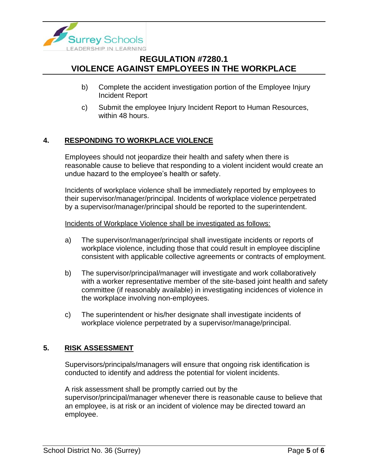

- b) Complete the accident investigation portion of the Employee Injury Incident Report
- c) Submit the employee Injury Incident Report to Human Resources, within 48 hours.

### **4. RESPONDING TO WORKPLACE VIOLENCE**

Employees should not jeopardize their health and safety when there is reasonable cause to believe that responding to a violent incident would create an undue hazard to the employee's health or safety.

Incidents of workplace violence shall be immediately reported by employees to their supervisor/manager/principal. Incidents of workplace violence perpetrated by a supervisor/manager/principal should be reported to the superintendent.

#### Incidents of Workplace Violence shall be investigated as follows:

- a) The supervisor/manager/principal shall investigate incidents or reports of workplace violence, including those that could result in employee discipline consistent with applicable collective agreements or contracts of employment.
- b) The supervisor/principal/manager will investigate and work collaboratively with a worker representative member of the site-based joint health and safety committee (if reasonably available) in investigating incidences of violence in the workplace involving non-employees.
- c) The superintendent or his/her designate shall investigate incidents of workplace violence perpetrated by a supervisor/manage/principal.

### **5. RISK ASSESSMENT**

Supervisors/principals/managers will ensure that ongoing risk identification is conducted to identify and address the potential for violent incidents.

A risk assessment shall be promptly carried out by the supervisor/principal/manager whenever there is reasonable cause to believe that an employee, is at risk or an incident of violence may be directed toward an employee.